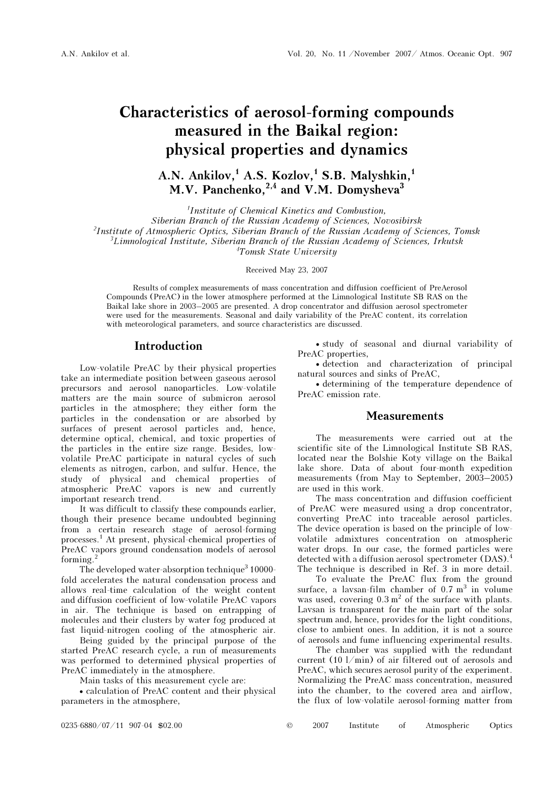# Characteristics of aerosol-forming compounds measured in the Baikal region: physical properties and dynamics

A.N. Ankilov,<sup>1</sup> A.S. Kozlov,<sup>1</sup> S.B. Malyshkin,<sup>1</sup> M.V. Panchenko, $^{2,4}$  and V.M. Domysheva<sup>3</sup>

1 Institute of Chemical Kinetics and Combustion,

Siberian Branch of the Russian Academy of Sciences, Novosibirsk

<sup>2</sup>Institute of Atmospheric Optics, Siberian Branch of the Russian Academy of Sciences, Tomsk

 $3$ Limnological Institute, Siberian Branch of the Russian Academy of Sciences, Irkutsk

4 Tomsk State University

Received May 23, 2007

Results of complex measurements of mass concentration and diffusion coefficient of PreAerosol Compounds (PreAC) in the lower atmosphere performed at the Limnological Institute SB RAS on the Baikal lake shore in 2003–2005 are presented. A drop concentrator and diffusion aerosol spectrometer were used for the measurements. Seasonal and daily variability of the PreAC content, its correlation with meteorological parameters, and source characteristics are discussed.

# Introduction

Low-volatile PreAC by their physical properties take an intermediate position between gaseous aerosol precursors and aerosol nanoparticles. Low-volatile matters are the main source of submicron aerosol particles in the atmosphere; they either form the particles in the condensation or are absorbed by surfaces of present aerosol particles and, hence, determine optical, chemical, and toxic properties of the particles in the entire size range. Besides, lowvolatile PreAC participate in natural cycles of such elements as nitrogen, carbon, and sulfur. Hence, the study of physical and chemical properties of atmospheric PreAC vapors is new and currently important research trend.

It was difficult to classify these compounds earlier, though their presence became undoubted beginning from a certain research stage of aerosol-forming processes.<sup>1</sup> At present, physical-chemical properties of PreAC vapors ground condensation models of aerosol forming. $^{2}$ 

The developed water-absorption technique<sup>3</sup> 10000fold accelerates the natural condensation process and allows real-time calculation of the weight content and diffusion coefficient of low-volatile PreAC vapors in air. The technique is based on entrapping of molecules and their clusters by water fog produced at fast liquid-nitrogen cooling of the atmospheric air.

 Being guided by the principal purpose of the started PreAC research cycle, a run of measurements was performed to determined physical properties of PreAC immediately in the atmosphere.

Main tasks of this measurement cycle are:

• calculation of PreAC content and their physical parameters in the atmosphere,

• study of seasonal and diurnal variability of PreAC properties,

• detection and characterization of principal natural sources and sinks of PreAC,

• determining of the temperature dependence of PreAC emission rate.

## **Measurements**

The measurements were carried out at the scientific site of the Limnological Institute SB RAS, located near the Bolshie Koty village on the Baikal lake shore. Data of about four-month expedition measurements (from May to September, 2003–2005) are used in this work.

The mass concentration and diffusion coefficient of PreAC were measured using a drop concentrator, converting PreAC into traceable aerosol particles. The device operation is based on the principle of lowvolatile admixtures concentration on atmospheric water drops. In our case, the formed particles were detected with a diffusion aerosol spectrometer (DAS).<sup>4</sup> The technique is described in Ref. 3 in more detail.

 To evaluate the PreAC flux from the ground surface, a lavsan-film chamber of  $0.7 \text{ m}^3$  in volume was used, covering  $0.3 \text{ m}^2$  of the surface with plants. Lavsan is transparent for the main part of the solar spectrum and, hence, provides for the light conditions, close to ambient ones. In addition, it is not a source of aerosols and fume influencing experimental results.

 The chamber was supplied with the redundant current (10 l/min) of air filtered out of aerosols and PreAC, which secures aerosol purity of the experiment. Normalizing the PreAC mass concentration, measured into the chamber, to the covered area and airflow, the flux of low-volatile aerosol-forming matter from

0235-6880/07/11 907-04 \$02.00 © 2007 Institute of Atmospheric Optics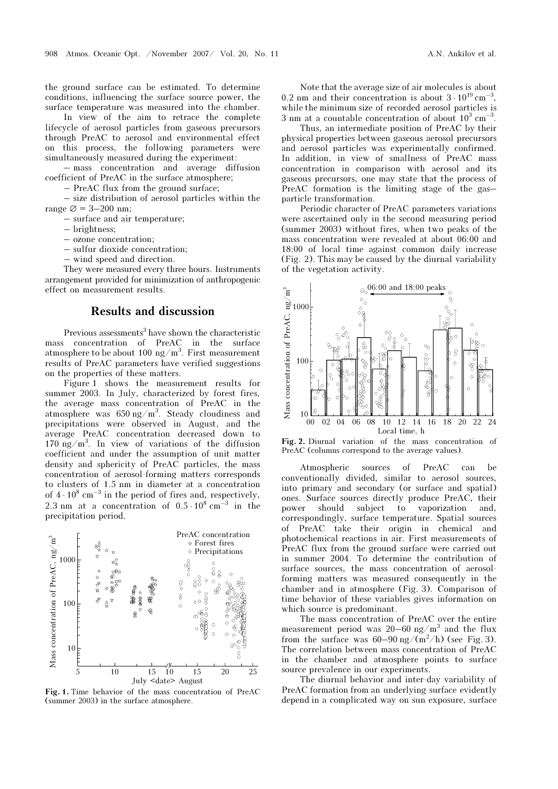the ground surface can be estimated. To determine conditions, influencing the surface source power, the surface temperature was measured into the chamber.

 In view of the aim to retrace the complete lifecycle of aerosol particles from gaseous precursors through PreAC to aerosol and environmental effect on this process, the following parameters were simultaneously measured during the experiment:

– mass concentration and average diffusion coefficient of PreAC in the surface atmosphere;

– PreAC flux from the ground surface;

– size distribution of aerosol particles within the range  $\varnothing$  = 3–200 nm;

- surface and air temperature;
- brightness;
- ozone concentration;
- sulfur dioxide concentration;
- wind speed and direction.

They were measured every three hours. Instruments arrangement provided for minimization of anthropogenic effect on measurement results.

## Results and discussion

Previous assessments<sup>3</sup> have shown the characteristic mass concentration of PreAC in the surface atmosphere to be about 100 ng/m<sup>3</sup>. First measurement results of PreAC parameters have verified suggestions on the properties of these matters.

Figure 1 shows the measurement results for summer 2003. In July, characterized by forest fires, the average mass concentration of PreAC in the atmosphere was  $650 \text{ ng/m}^3$ . Steady cloudiness and precipitations were observed in August, and the average PreAC concentration decreased down to 170 ng/m<sup>3</sup>. In view of variations of the diffusion coefficient and under the assumption of unit matter density and sphericity of PreAC particles, the mass concentration of aerosol-forming matters corresponds to clusters of 1.5 nm in diameter at a concentration of  $4 \cdot 10^8$  cm<sup>-3</sup> in the period of fires and, respectively, 2.3 nm at a concentration of  $0.5 \cdot 10^8$  cm<sup>-3</sup> in the precipitation period.



Fig. 1. Time behavior of the mass concentration of PreAC (summer 2003) in the surface atmosphere.

Note that the average size of air molecules is about 0.2 nm and their concentration is about  $3 \cdot 10^{19}$  cm<sup>-3</sup>, while the minimum size of recorded aerosol particles is 3 nm at a countable concentration of about  $10^3$  cm<sup>-3</sup>.

 Thus, an intermediate position of PreAC by their physical properties between gaseous aerosol precursors and aerosol particles was experimentally confirmed. In addition, in view of smallness of PreAC mass concentration in comparison with aerosol and its gaseous precursors, one may state that the process of PreAC formation is the limiting stage of the gas– particle transformation.

Periodic character of PreAC parameters variations were ascertained only in the second measuring period (summer 2003) without fires, when two peaks of the mass concentration were revealed at about 06:00 and 18:00 of local time against common daily increase (Fig. 2). This may be caused by the diurnal variability of the vegetation activity.



Fig. 2. Diurnal variation of the mass concentration of PreAC (columns correspond to the average values).

Atmospheric sources of PreAC can be conventionally divided, similar to aerosol sources, into primary and secondary (or surface and spatial) ones. Surface sources directly produce PreAC, their power should subject to vaporization and, correspondingly, surface temperature. Spatial sources of PreAC take their origin in chemical and photochemical reactions in air. First measurements of PreAC flux from the ground surface were carried out in summer 2004. To determine the contribution of surface sources, the mass concentration of aerosolforming matters was measured consequently in the chamber and in atmosphere (Fig. 3). Comparison of time behavior of these variables gives information on which source is predominant.

The mass concentration of PreAC over the entire measurement period was  $20-60$  ng/m<sup>3</sup> and the flux from the surface was  $60-90 \text{ ng}/(\text{m}^2/\text{h})$  (see Fig. 3). The correlation between mass concentration of PreAC in the chamber and atmosphere points to surface source prevalence in our experiments.

The diurnal behavior and inter-day variability of PreAC formation from an underlying surface evidently depend in a complicated way on sun exposure, surface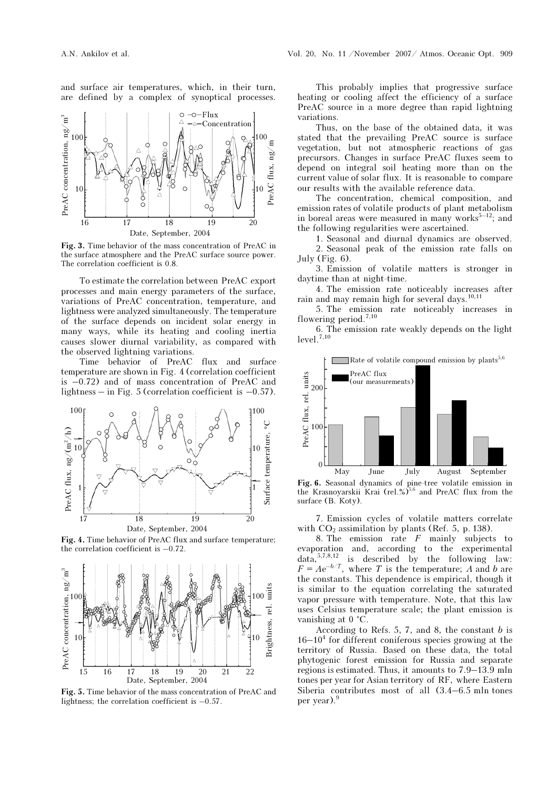and surface air temperatures, which, in their turn, are defined by a complex of synoptical processes.



Fig. 3. Time behavior of the mass concentration of PreAC in the surface atmosphere and the PreAC surface source power. The correlation coefficient is 0.8.

To estimate the correlation between PreAC export processes and main energy parameters of the surface, variations of PreAC concentration, temperature, and lightness were analyzed simultaneously. The temperature of the surface depends on incident solar energy in many ways, while its heating and cooling inertia causes slower diurnal variability, as compared with the observed lightning variations.

Time behavior of PreAC flux and surface temperature are shown in Fig. 4 (correlation coefficient is –0.72) and of mass concentration of PreAC and lightness – in Fig. 5 (correlation coefficient is  $-0.57$ ).



Fig. 4. Time behavior of PreAC flux and surface temperature; the correlation coefficient is –0.72.



Fig. 5. Time behavior of the mass concentration of PreAC and lightness; the correlation coefficient is –0.57.

This probably implies that progressive surface heating or cooling affect the efficiency of a surface PreAC source in a more degree than rapid lightning variations.

Thus, on the base of the obtained data, it was stated that the prevailing PreAC source is surface vegetation, but not atmospheric reactions of gas precursors. Changes in surface PreAC fluxes seem to depend on integral soil heating more than on the current value of solar flux. It is reasonable to compare our results with the available reference data.

The concentration, chemical composition, and emission rates of volatile products of plant metabolism in boreal areas were measured in many works<sup>5–12</sup>; and the following regularities were ascertained.

1. Seasonal and diurnal dynamics are observed.

 2. Seasonal peak of the emission rate falls on July (Fig. 6).

3. Emission of volatile matters is stronger in daytime than at night-time.

4. The emission rate noticeably increases after rain and may remain high for several days.10,11

5. The emission rate noticeably increases in flowering period.7,10

6. The emission rate weakly depends on the light  $level.^{7,10}$ 



Fig. 6. Seasonal dynamics of pine-tree volatile emission in the Krasnovarskii Krai (rel %)<sup>5,6</sup> and PreAC flux from the the Krasnoyarskii Krai (rel.%)<sup>5,6</sup> and PreAC flux from the surface (B. Koty).

7. Emission cycles of volatile matters correlate with  $CO<sub>2</sub>$  assimilation by plants (Ref. 5, p. 138).

8. The emission rate  $F$  mainly subjects to evaporation and, according to the experimental  $data$ ,  $5,7,8,12$  is described by the following law:  $F = Ae^{-b/T}$ , where T is the temperature; A and b are the constants. This dependence is empirical, though it is similar to the equation correlating the saturated vapor pressure with temperature. Note, that this law uses Celsius temperature scale; the plant emission is vanishing at 0 °C.

According to Refs. 5, 7, and 8, the constant  $b$  is  $16-10<sup>4</sup>$  for different coniferous species growing at the territory of Russia. Based on these data, the total phytogenic forest emission for Russia and separate regions is estimated. Thus, it amounts to 7.9–13.9 mln tones per year for Asian territory of RF, where Eastern Siberia contributes most of all (3.4–6.5 mln tones per year).<sup>9</sup>